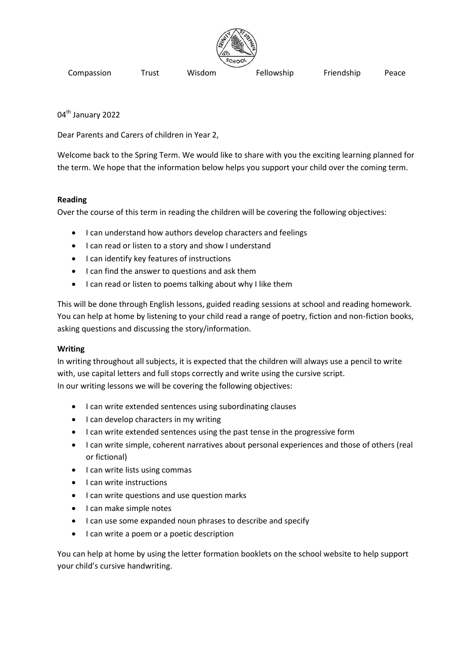

Compassion Trust Wisdom Fellowship Friendship Peace

04<sup>th</sup> January 2022

Dear Parents and Carers of children in Year 2,

Welcome back to the Spring Term. We would like to share with you the exciting learning planned for the term. We hope that the information below helps you support your child over the coming term.

## **Reading**

Over the course of this term in reading the children will be covering the following objectives:

- I can understand how authors develop characters and feelings
- **•** I can read or listen to a story and show I understand
- I can identify key features of instructions
- I can find the answer to questions and ask them
- I can read or listen to poems talking about why I like them

This will be done through English lessons, guided reading sessions at school and reading homework. You can help at home by listening to your child read a range of poetry, fiction and non-fiction books, asking questions and discussing the story/information.

### **Writing**

In writing throughout all subjects, it is expected that the children will always use a pencil to write with, use capital letters and full stops correctly and write using the cursive script. In our writing lessons we will be covering the following objectives:

- I can write extended sentences using subordinating clauses
- I can develop characters in my writing
- I can write extended sentences using the past tense in the progressive form
- I can write simple, coherent narratives about personal experiences and those of others (real or fictional)
- I can write lists using commas
- I can write instructions
- I can write questions and use question marks
- I can make simple notes
- I can use some expanded noun phrases to describe and specify
- I can write a poem or a poetic description

You can help at home by using the letter formation booklets on the school website to help support your child's cursive handwriting.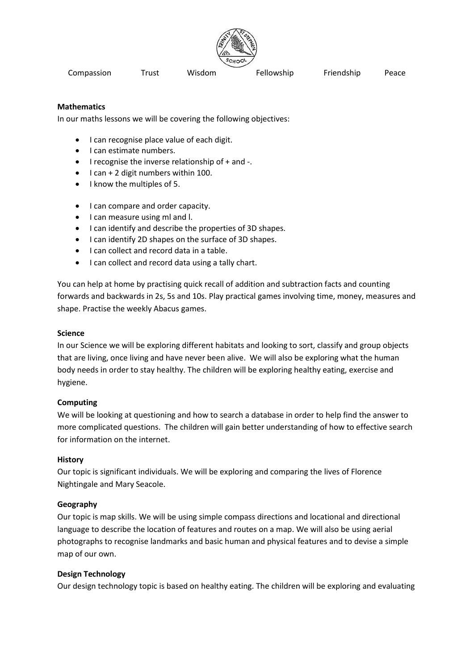

Compassion Trust Wisdom Fellowship Friendship Peace

### **Mathematics**

In our maths lessons we will be covering the following objectives:

- I can recognise place value of each digit.
- I can estimate numbers.
- $\bullet$  I recognise the inverse relationship of  $+$  and  $-$ .
- I can + 2 digit numbers within 100.
- I know the multiples of 5.
- I can compare and order capacity.
- I can measure using ml and l.
- I can identify and describe the properties of 3D shapes.
- I can identify 2D shapes on the surface of 3D shapes.
- I can collect and record data in a table.
- I can collect and record data using a tally chart.

You can help at home by practising quick recall of addition and subtraction facts and counting forwards and backwards in 2s, 5s and 10s. Play practical games involving time, money, measures and shape. Practise the weekly Abacus games.

### **Science**

In our Science we will be exploring different habitats and looking to sort, classify and group objects that are living, once living and have never been alive. We will also be exploring what the human body needs in order to stay healthy. The children will be exploring healthy eating, exercise and hygiene.

### **Computing**

We will be looking at questioning and how to search a database in order to help find the answer to more complicated questions. The children will gain better understanding of how to effective search for information on the internet.

### **History**

Our topic is significant individuals. We will be exploring and comparing the lives of Florence Nightingale and Mary Seacole.

### **Geography**

Our topic is map skills. We will be using simple compass directions and locational and directional language to describe the location of features and routes on a map. We will also be using aerial photographs to recognise landmarks and basic human and physical features and to devise a simple map of our own.

### **Design Technology**

Our design technology topic is based on healthy eating. The children will be exploring and evaluating